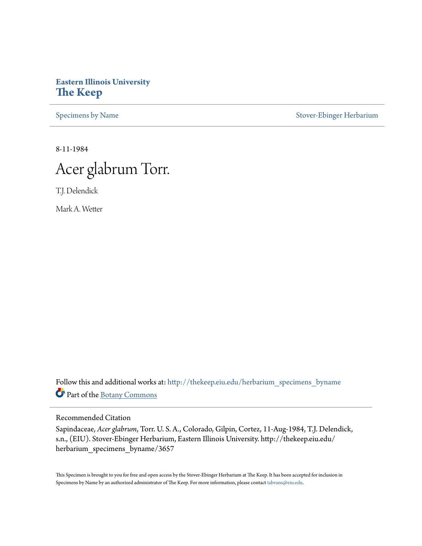## **Eastern Illinois University [The Keep](http://thekeep.eiu.edu?utm_source=thekeep.eiu.edu%2Fherbarium_specimens_byname%2F3657&utm_medium=PDF&utm_campaign=PDFCoverPages)**

[Specimens by Name](http://thekeep.eiu.edu/herbarium_specimens_byname?utm_source=thekeep.eiu.edu%2Fherbarium_specimens_byname%2F3657&utm_medium=PDF&utm_campaign=PDFCoverPages) [Stover-Ebinger Herbarium](http://thekeep.eiu.edu/herbarium?utm_source=thekeep.eiu.edu%2Fherbarium_specimens_byname%2F3657&utm_medium=PDF&utm_campaign=PDFCoverPages)

8-11-1984



T.J. Delendick

Mark A. Wetter

Follow this and additional works at: [http://thekeep.eiu.edu/herbarium\\_specimens\\_byname](http://thekeep.eiu.edu/herbarium_specimens_byname?utm_source=thekeep.eiu.edu%2Fherbarium_specimens_byname%2F3657&utm_medium=PDF&utm_campaign=PDFCoverPages) Part of the [Botany Commons](http://network.bepress.com/hgg/discipline/104?utm_source=thekeep.eiu.edu%2Fherbarium_specimens_byname%2F3657&utm_medium=PDF&utm_campaign=PDFCoverPages)

Recommended Citation

Sapindaceae, *Acerglabrum*, Torr. U. S. A., Colorado, Gilpin, Cortez, 11-Aug-1984, T.J. Delendick, s.n., (EIU). Stover-Ebinger Herbarium, Eastern Illinois University. http://thekeep.eiu.edu/ herbarium\_specimens\_byname/3657

This Specimen is brought to you for free and open access by the Stover-Ebinger Herbarium at The Keep. It has been accepted for inclusion in Specimens by Name by an authorized administrator of The Keep. For more information, please contact [tabruns@eiu.edu](mailto:tabruns@eiu.edu).